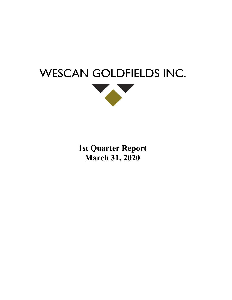



**1st Quarter Report March 31, 2020**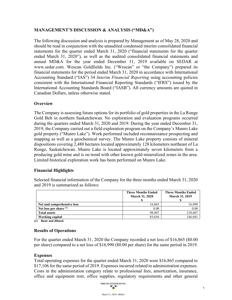# **MANAGEMENT'S DISCUSSION & ANALYSIS ("MD&A")**

The following discussion and analysis is prepared by Management as of May 28, 2020 and should be read in conjunction with the unaudited condensed interim consolidated financial statements for the quarter ended March 31, 2020 ("financial statements for the quarter ended March 31, 2020"), as well as the audited consolidated financial statements and annual MD&A for the year ended December 31, 2019 available on SEDAR at [www.sedar.com.](http://www.sedar.com/) Wescan Goldfields Inc. ("Wescan" or "the Company") prepared its financial statements for the period ended March 31, 2020 in accordance with International Accounting Standard ("IAS") 34 *Interim Financial Reporting* using accounting policies consistent with the International Financial Reporting Standards ("IFRS") issued by the International Accounting Standards Board ("IASB"). All currency amounts are quoted in Canadian Dollars, unless otherwise stated.

# **Overview**

The Company is assessing future options for its portfolio of gold properties in the La Ronge Gold Belt in northern Saskatchewan. No exploration and evaluation programs occurred during the quarters ended March 31, 2020 and 2019. During the year ended December 31, 2019, the Company carried out a field exploration program on the Company's Munro Lake gold property ("Munro Lake"). Work performed included reconnaissance prospecting and mapping as well as a geochemical survey. The Munro Lake property consists of mineral dispositions covering 2,480 hectares located approximately 128 kilometers northeast of La Ronge, Saskatchewan. Munro Lake is located approximately seven kilometers from a producing gold mine and is on trend with other known gold mineralized zones in the area. Limited historical exploration work has been performed on Munro Lake.

# **Financial Highlights**

Selected financial information of the Company for the three months ended March 31, 2020 and 2019 is summarized as follows:

|                            | <b>Three Months Ended</b><br><b>March 31, 2020</b> | <b>Three Months Ended</b><br><b>March 31, 2019</b> |  |  |
|----------------------------|----------------------------------------------------|----------------------------------------------------|--|--|
| Net and comprehensive loss | 16.865                                             | 16,990                                             |  |  |
| Net loss per share $(1)$   | 0.00                                               | 0.00                                               |  |  |
| <b>Total assets</b>        | 98.407                                             | 210,407                                            |  |  |
| Working capital            | 85,656                                             | 186.941                                            |  |  |

**(1) Basic and diluted.**

# **Results of Operations**

For the quarter ended March 31, 2020 the Company recorded a net loss of \$16,865 (\$0.00 per share) compared to a net loss of \$16,990 (\$0.00 per share) for the same period in 2019.

# **Expenses**

Total operating expenses for the quarter ended March 31, 2020 were \$16,865 compared to \$17,106 for the same period of 2019. Expenses incurred related to administration expenses. Costs in the administration category relate to professional fees, amortization, insurance, office and equipment rent, office supplies, regulatory requirements and other general

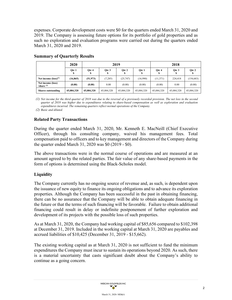expenses. Corporate development costs were \$0 for the quarters ended March 31, 2020 and 2019. The Company is assessing future options for its portfolio of gold properties and as such no exploration and evaluation programs were carried out during the quarters ended March 31, 2020 and 2019.

|                                   | 2020       | 2019       |            |            | 2018       |            |            |            |
|-----------------------------------|------------|------------|------------|------------|------------|------------|------------|------------|
|                                   | Otr 1      | Otr 4      | Otr 3      | Otr 2<br>Φ | Otr 1      | Otr 4      | Otr 3      | Otr 2      |
| Net income $(logs)^{(1)}$         | (16, 865)  | (51, 973)  | (7, 285)   | (25, 747)  | (16,990)   | (11, 371)  | 224,418    | (154, 683) |
| Net income (loss)<br>/share $(2)$ | (0.00)     | (0.00)     | 0.00       | (0.00)     | (0.00)     | (0.00)     | 0.00       | (0.00)     |
| <b>Shares outstanding</b>         | 45,084,320 | 45,084,320 | 45,084,320 | 45,084,320 | 45,084,320 | 45,084,320 | 45,084,320 | 45,084,320 |

# **Summary of Quarterly Results**

*(1) Net income for the third quarter of 2018 was due to the reversal of a previously recorded provision. The net loss in the second quarter of 2018 was higher due to expenditures relating to share-based compensation as well as exploration and evaluation expenditures incurred. The remaining quarters reflect normal operations of the Company.*

*(2) Basic and diluted.*

# **Related Party Transactions**

During the quarter ended March 31, 2020, Mr. Kenneth E. MacNeill (Chief Executive Officer), through his consulting company, waived his management fees. Total compensation paid to officers and to key management and directors of the Company during the quarter ended March 31, 2020 was \$0 (2019 - \$0).

The above transactions were in the normal course of operations and are measured at an amount agreed to by the related parties. The fair value of any share-based payments in the form of options is determined using the Black-Scholes model.

# **Liquidity**

The Company currently has no ongoing source of revenue and, as such, is dependent upon the issuance of new equity to finance its ongoing obligations and to advance its exploration properties. Although the Company has been successful in the past in obtaining financing, there can be no assurance that the Company will be able to obtain adequate financing in the future or that the terms of such financing will be favorable. Failure to obtain additional financing could result in delay or indefinite postponement of further exploration and development of its projects with the possible loss of such properties.

As at March 31, 2020, the Company had working capital of \$85,656 compared to \$102,398 at December 31, 2019. Included in the working capital at March 31, 2020 are payables and accrued liabilities of \$10,425 (December 31, 2019 - \$15,662).

The existing working capital as at March 31, 2020 is not sufficient to fund the minimum expenditures the Company must incur to sustain its operations beyond 2020. As such, there is a material uncertainty that casts significant doubt about the Company's ability to continue as a going concern.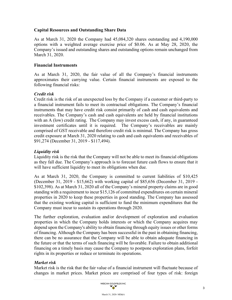# **Capital Resources and Outstanding Share Data**

As at March 31, 2020 the Company had 45,084,320 shares outstanding and 4,190,000 options with a weighted average exercise price of \$0.06. As at May 28, 2020, the Company's issued and outstanding shares and outstanding options remain unchanged from March 31, 2020.

## **Financial Instruments**

As at March 31, 2020, the fair value of all the Company's financial instruments approximates their carrying value. Certain financial instruments are exposed to the following financial risks:

## *Credit risk*

Credit risk is the risk of an unexpected loss by the Company if a customer or third-party to a financial instrument fails to meet its contractual obligations. The Company's financial instruments that may have credit risk consist primarily of cash and cash equivalents and receivables. The Company's cash and cash equivalents are held by financial institutions with an A (low) credit rating. The Company may invest excess cash, if any, in guaranteed investment certificates until it is required. The Company's receivables are mainly comprised of GST receivable and therefore credit risk is minimal. The Company has gross credit exposure at March 31, 2020 relating to cash and cash equivalents and receivables of \$91,274 (December 31, 2019 - \$117,494).

# *Liquidity risk*

Liquidity risk is the risk that the Company will not be able to meet its financial obligations as they fall due. The Company's approach is to forecast future cash flows to ensure that it will have sufficient liquidity to meet its obligations when due.

As at March 31, 2020, the Company is committed to current liabilities of \$10,425 (December 31, 2019 - \$15,662) with working capital of \$85,656 (December 31, 2019 - \$102,398). As at March 31, 2020 all of the Company's mineral property claims are in good standing with a requirement to incur \$15,126 of committed expenditures on certain mineral properties in 2020 to keep these properties in good standing. The Company has assessed that the existing working capital is sufficient to fund the minimum expenditures that the Company must incur to sustain its operations through 2020.

The further exploration, evaluation and/or development of exploration and evaluation properties in which the Company holds interests or which the Company acquires may depend upon the Company's ability to obtain financing through equity issues or other forms of financing. Although the Company has been successful in the past in obtaining financing, there can be no assurance that the Company will be able to obtain adequate financing in the future or that the terms of such financing will be favorable. Failure to obtain additional financing on a timely basis may cause the Company to postpone exploration plans, forfeit rights in its properties or reduce or terminate its operations.

## *Market risk*

Market risk is the risk that the fair value of a financial instrument will fluctuate because of changes in market prices. Market prices are comprised of four types of risk: foreign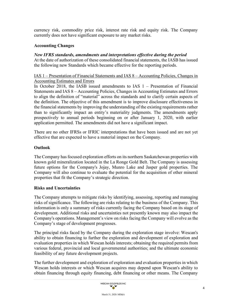currency risk, commodity price risk, interest rate risk and equity risk. The Company currently does not have significant exposure to any market risks.

## **Accounting Changes**

## *New IFRS standards, amendments and interpretations effective during the period*

At the date of authorization of these consolidated financial statements, the IASB has issued the following new Standards which became effective for the reporting periods.

## IAS 1 – Presentation of Financial Statements and IAS 8 – Accounting Policies, Changes in Accounting Estimates and Errors

In October 2018, the IASB issued amendments to IAS  $1 -$  Presentation of Financial Statements and IAS 8 – Accounting Policies, Changes in Accounting Estimates and Errors to align the definition of "material" across the standards and to clarify certain aspects of the definition. The objective of this amendment is to improve disclosure effectiveness in the financial statements by improving the understanding of the existing requirements rather than to significantly impact an entity's materiality judgments. The amendments apply prospectively to annual periods beginning on or after January 1, 2020, with earlier application permitted. The amendments did not have a significant impact.

There are no other IFRSs or IFRIC interpretations that have been issued and are not yet effective that are expected to have a material impact on the Company.

## **Outlook**

The Company has focused exploration efforts on its northern Saskatchewan properties with known gold mineralization located in the La Ronge Gold Belt. The Company is assessing future options for the Company's Jojay, Munro Lake and Jasper gold properties. The Company will also continue to evaluate the potential for the acquisition of other mineral properties that fit the Company's strategic direction.

## **Risks and Uncertainties**

The Company attempts to mitigate risks by identifying, assessing, reporting and managing risks of significance. The following are risks relating to the business of the Company. This information is only a summary of risks currently facing the Company based on its stage of development. Additional risks and uncertainties not presently known may also impact the Company's operations. Management's view on risks facing the Company will evolve as the Company's stage of development progresses.

The principal risks faced by the Company during the exploration stage involve: Wescan's ability to obtain financing to further the exploration and development of exploration and evaluation properties in which Wescan holds interests; obtaining the required permits from various federal, provincial and local governmental authorities; and the ultimate economic feasibility of any future development projects.

The further development and exploration of exploration and evaluation properties in which Wescan holds interests or which Wescan acquires may depend upon Wescan's ability to obtain financing through equity financing, debt financing or other means. The Company

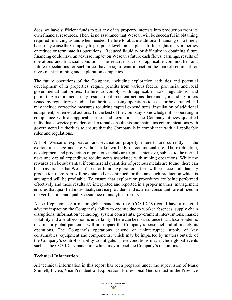does not have sufficient funds to put any of its property interests into production from its own financial resources. There is no assurance that Wescan will be successful in obtaining required financing as and when needed. Failure to obtain additional financing on a timely basis may cause the Company to postpone development plans, forfeit rights in its properties or reduce or terminate its operations. Reduced liquidity or difficulty in obtaining future financing could have an adverse impact on Wescan's future cash flows, earnings, results of operations and financial condition. The relative prices of applicable commodities and future expectations for such prices have a significant impact on the market sentiment for investment in mining and exploration companies.

The future operations of the Company, including exploration activities and potential development of its properties, require permits from various federal, provincial and local governmental authorities. Failure to comply with applicable laws, regulations, and permitting requirements may result in enforcement actions thereunder, including orders issued by regulatory or judicial authorities causing operations to cease or be curtailed and may include corrective measures requiring capital expenditures, installation of additional equipment, or remedial actions. To the best of the Company's knowledge, it is operating in compliance with all applicable rules and regulations. The Company utilizes qualified individuals, service providers and external consultants and maintains communications with governmental authorities to ensure that the Company is in compliance with all applicable rules and regulations.

All of Wescan's exploration and evaluation property interests are currently in the exploration stage and are without a known body of commercial ore. The exploration, development and production of precious metals are capital-intensive, subject to the normal risks and capital expenditure requirements associated with mining operations. While the rewards can be substantial if commercial quantities of precious metals are found, there can be no assurance that Wescan's past or future exploration efforts will be successful, that any production therefrom will be obtained or continued, or that any such production which is attempted will be profitable. To ensure that exploration procedures are being performed effectively and those results are interpreted and reported in a proper manner, management ensures that qualified individuals, service providers and external consultants are utilized in the verification and quality assurance of analytical results.

A local epidemic or a major global pandemic (e.g. COVID-19) could have a material adverse impact on the Company's ability to operate due to worker absences, supply chain disruptions, information technology system constraints, government interventions, market volatility and overall economic uncertainty. There can be no assurance that a local epidemic or a major global pandemic will not impact the Company's personnel and ultimately its operations. The Company's operations depend on uninterrupted supply of key consumables, equipment and components, which may be impacted by matters outside of the Company's control or ability to mitigate. These conditions may include global events such as the COVID-19 pandemic which may impact the Company's operations.

# **Technical Information**

All technical information in this report has been prepared under the supervision of Mark Shimell, P.Geo, Vice President of Exploration, Professional Geoscientist in the Province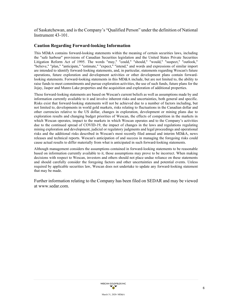of Saskatchewan, and is the Company's "Qualified Person" under the definition of National Instrument 43-101.

## **Caution Regarding Forward-looking Information**

This MD&A contains forward-looking statements within the meaning of certain securities laws, including the "safe harbour" provisions of Canadian Securities legislation and the United States Private Securities Litigation Reform Act of 1995. The words "may," "could," "should," "would," "suspect," "outlook," "believe," "plan," "anticipate," "estimate," "expect," "intend," and words and expressions of similar import are intended to identify forward-looking statements, and, in particular, statements regarding Wescan's future operations, future exploration and development activities or other development plans contain forwardlooking statements. Forward-looking statements in this MD&A include, but are not limited to, the ability to raise funds to meet commitments and pursue exploration activities, the use of such funds, future plans for the Jojay, Jasper and Munro Lake properties and the acquisition and exploration of additional properties.

These forward-looking statements are based on Wescan's current beliefs as well as assumptions made by and information currently available to it and involve inherent risks and uncertainties, both general and specific. Risks exist that forward-looking statements will not be achieved due to a number of factors including, but not limited to, developments in world gold markets, risks relating to fluctuations in the Canadian dollar and other currencies relative to the US dollar, changes in exploration, development or mining plans due to exploration results and changing budget priorities of Wescan, the effects of competition in the markets in which Wescan operates, impact to the markets in which Wescan operates and to the Company's activities due to the continued spread of COVID-19, the impact of changes in the laws and regulations regulating mining exploration and development, judicial or regulatory judgments and legal proceedings and operational risks and the additional risks described in Wescan's most recently filed annual and interim MD&A, news releases and technical reports. Wescan's anticipation of and success in managing the foregoing risks could cause actual results to differ materially from what is anticipated in such forward-looking statements.

Although management considers the assumptions contained in forward-looking statements to be reasonable based on information currently available to it, those assumptions may prove to be incorrect. When making decisions with respect to Wescan, investors and others should not place undue reliance on these statements and should carefully consider the foregoing factors and other uncertainties and potential events. Unless required by applicable securities law, Wescan does not undertake to update any forward-looking statement that may be made.

Further information relating to the Company has been filed on SEDAR and may be viewed at [www.sedar.com.](http://www.sedar.com/)

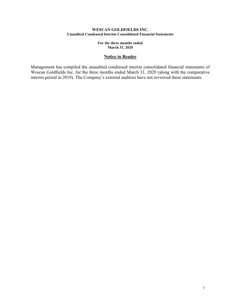### **WESCAN GOLDFIELDS INC. Unaudited Condensed Interim Consolidated Financial Statements**

**For the three months ended March 31, 2020**

## **Notice to Reader**

Management has compiled the unaudited condensed interim consolidated financial statements of Wescan Goldfields Inc. for the three months ended March 31, 2020 (along with the comparative interim period in 2019). The Company's external auditors have not reviewed these statements.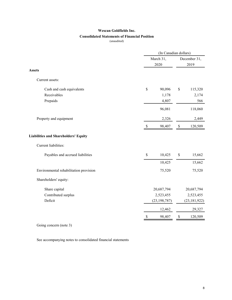## **Consolidated Statements of Financial Position**

(unaudited)

|                                             | (In Canadian dollars)     |                |      |                |  |
|---------------------------------------------|---------------------------|----------------|------|----------------|--|
|                                             |                           | March 31,      |      | December 31,   |  |
|                                             | 2020                      |                | 2019 |                |  |
| <b>Assets</b>                               |                           |                |      |                |  |
| Current assets:                             |                           |                |      |                |  |
| Cash and cash equivalents                   | \$                        | 90,096         | \$   | 115,320        |  |
| Receivables                                 |                           | 1,178          |      | 2,174          |  |
| Prepaids                                    |                           | 4,807          |      | 566            |  |
|                                             |                           | 96,081         |      | 118,060        |  |
| Property and equipment                      |                           | 2,326          |      | 2,449          |  |
|                                             | $\boldsymbol{\mathsf{S}}$ | 98,407         | $\$$ | 120,509        |  |
| <b>Liabilities and Shareholders' Equity</b> |                           |                |      |                |  |
| Current liabilities:                        |                           |                |      |                |  |
| Payables and accrued liabilities            | \$                        | 10,425         | \$   | 15,662         |  |
|                                             |                           | 10,425         |      | 15,662         |  |
| Environmental rehabilitation provision      |                           | 75,520         |      | 75,520         |  |
| Shareholders' equity:                       |                           |                |      |                |  |
| Share capital                               |                           | 20,687,794     |      | 20,687,794     |  |
| Contributed surplus                         |                           | 2,523,455      |      | 2,523,455      |  |
| Deficit                                     |                           | (23, 198, 787) |      | (23, 181, 922) |  |
|                                             |                           | 12,462         |      | 29,327         |  |
|                                             | \$                        | 98,407         | \$   | 120,509        |  |

Going concern (note 3)

See accompanying notes to consolidated financial statements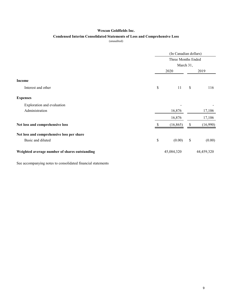## **Condensed Interim Consolidated Statements of Loss and Comprehensive Loss**

(unaudited)

|                                               |    | (In Canadian dollars)<br>Three Months Ended<br>March 31, |               |            |  |
|-----------------------------------------------|----|----------------------------------------------------------|---------------|------------|--|
|                                               |    |                                                          |               |            |  |
|                                               |    |                                                          |               |            |  |
|                                               |    | 2020                                                     |               | 2019       |  |
| <b>Income</b>                                 |    |                                                          |               |            |  |
| Interest and other                            | \$ | 11                                                       | $\mathcal{S}$ | 116        |  |
| <b>Expenses</b>                               |    |                                                          |               |            |  |
| Exploration and evaluation                    |    |                                                          |               |            |  |
| Administration                                |    | 16,876                                                   |               | 17,106     |  |
|                                               |    | 16,876                                                   |               | 17,106     |  |
| Net loss and comprehensive loss               |    | (16, 865)                                                | S             | (16,990)   |  |
| Net loss and comprehensive loss per share     |    |                                                          |               |            |  |
| Basic and diluted                             | \$ | (0.00)                                                   | \$            | (0.00)     |  |
| Weighted average number of shares outstanding |    | 45,084,320                                               |               | 44,459,320 |  |

See accompanying notes to consolidated financial statements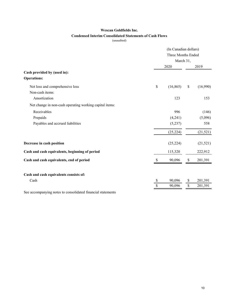## **Condensed Interim Consolidated Statements of Cash Flows**

(unaudited)

|                                                             | (In Canadian dollars) |           |      |           |
|-------------------------------------------------------------|-----------------------|-----------|------|-----------|
|                                                             | Three Months Ended    |           |      |           |
|                                                             |                       | March 31, |      |           |
|                                                             |                       | 2020      |      | 2019      |
| Cash provided by (used in):                                 |                       |           |      |           |
| <b>Operations:</b>                                          |                       |           |      |           |
| Net loss and comprehensive loss                             | \$                    | (16, 865) | \$   | (16,990)  |
| Non-cash items:                                             |                       |           |      |           |
| Amortization                                                |                       | 123       |      | 153       |
| Net change in non-cash operating working capital items:     |                       |           |      |           |
| Receivables                                                 |                       | 996       |      | (146)     |
| Prepaids                                                    |                       | (4,241)   |      | (5,096)   |
| Payables and accrued liabilities                            |                       | (5,237)   |      | 558       |
|                                                             |                       | (25, 224) |      | (21, 521) |
| Decrease in cash position                                   |                       | (25, 224) |      | (21,521)  |
| Cash and cash equivalents, beginning of period              |                       | 115,320   |      | 222,912   |
| Cash and cash equivalents, end of period                    | \$.                   | 90,096    | \$   | 201,391   |
| Cash and cash equivalents consists of:                      |                       |           |      |           |
| Cash                                                        | \$                    | 90,096    | S    | 201,391   |
|                                                             | $\mathcal{S}$         | 90,096    | $\$$ | 201,391   |
| See accompanying notes to consolidated financial statements |                       |           |      |           |

10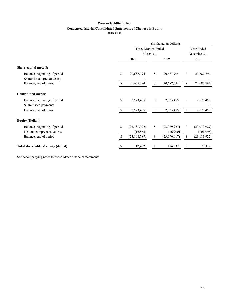## **Condensed Interim Consolidated Statements of Changes in Equity**

(unaudited)

|                                      |                    | (In Canadian dollars) |    |              |              |                |  |  |
|--------------------------------------|--------------------|-----------------------|----|--------------|--------------|----------------|--|--|
|                                      | Three Months Ended |                       |    |              |              | Year Ended     |  |  |
|                                      | March 31,          |                       |    |              | December 31, |                |  |  |
|                                      |                    | 2020                  |    | 2019         |              | 2019           |  |  |
| Share capital (note 8)               |                    |                       |    |              |              |                |  |  |
| Balance, beginning of period         | \$                 | 20,687,794            | \$ | 20,687,794   | \$           | 20,687,794     |  |  |
| Shares issued (net of costs)         |                    |                       |    |              |              |                |  |  |
| Balance, end of period               |                    | 20,687,794            | \$ | 20,687,794   | \$           | 20,687,794     |  |  |
| <b>Contributed surplus</b>           |                    |                       |    |              |              |                |  |  |
| Balance, beginning of period         | \$                 | 2,523,455             | \$ | 2,523,455    | \$           | 2,523,455      |  |  |
| Share-based payments                 |                    |                       |    |              |              |                |  |  |
| Balance, end of period               | \$.                | 2,523,455             | \$ | 2,523,455    | \$           | 2,523,455      |  |  |
| <b>Equity (Deficit)</b>              |                    |                       |    |              |              |                |  |  |
| Balance, beginning of period         | \$                 | (23, 181, 922)        | \$ | (23,079,927) | \$           | (23,079,927)   |  |  |
| Net and comprehensive loss           |                    | (16, 865)             |    | (16,990)     |              | (101, 995)     |  |  |
| Balance, end of period               |                    | (23, 198, 787)        | \$ | (23,096,917) | \$           | (23, 181, 922) |  |  |
| Total shareholders' equity (deficit) | \$                 | 12,462                | \$ | 114,332      | \$           | 29,327         |  |  |

See accompanying notes to consolidated financial statements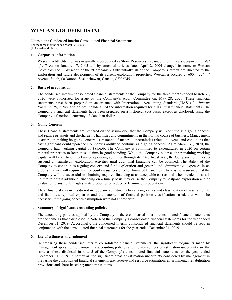# **WESCAN GOLDFIELDS INC.**

Notes to the Condensed Interim Consolidated Financial Statements For the three months ended March 31, 2020 (In Canadian dollars)

### **1. Corporate information**

Wescan Goldfields Inc. was originally incorporated as Shore Resources Inc. under the *Business Corporations Act of Alberta* on January 17, 2003 and by amended articles dated April 2, 2004 changed its name to Wescan Goldfields Inc. ("Wescan" or the "Company"). Substantially all of the Company's efforts are directed to the exploration and future development of its current exploration properties. Wescan is located at  $600 - 224$   $4<sup>th</sup>$ Avenue South, Saskatoon, Saskatchewan, Canada, S7K 5M5.

### **2. Basis of preparation**

The condensed interim consolidated financial statements of the Company for the three months ended March 31, 2020 were authorized for issue by the Company's Audit Committee on, May 28, 2020. These financial statements have been prepared in accordance with International Accounting Standard ("IAS") 34 *Interim Financial Reporting* and do not include all of the information required for full annual financial statements. The Company's financial statements have been prepared on a historical cost basis, except as disclosed, using the Company's functional currency of Canadian dollars.

### **3. Going Concern**

These financial statements are prepared on the assumption that the Company will continue as a going concern and realize its assets and discharge its liabilities and commitments in the normal course of business. Management is aware, in making its going concern assessment, of material uncertainties related to events and conditions that cast significant doubt upon the Company's ability to continue as a going concern. As at March 31, 2020, the Company had working capital of \$85,656. The Company is committed to expenditures in 2020 on certain mineral properties to keep these claims in good standing. While the Company believes the remaining working capital will be sufficient to finance operating activities through its 2020 fiscal year, the Company continues to suspend all significant exploration activities until additional financing can be obtained. The ability of the Company to continue as a going concern and fund exploration and general and administrative expenses in an orderly manner will require further equity issuances or other forms of financings. There is no assurance that the Company will be successful in obtaining required financing at an acceptable cost as and when needed or at all. Failure to obtain additional financing on a timely basis may cause the Company to postpone exploration and/or evaluation plans, forfeit rights in its properties or reduce or terminate its operations.

These financial statements do not include any adjustments to carrying values and classification of asset amounts and liabilities, reported expenses and the statement of financial position classifications used, that would be necessary if the going concern assumption were not appropriate.

### **4. Summary of significant accounting policies**

The accounting policies applied by the Company in these condensed interim consolidated financial statements are the same as those disclosed in Note 4 of the Company's consolidated financial statements for the year ended December 31, 2019. Accordingly, the condensed interim consolidated financial statements should be read in conjunction with the consolidated financial statements for the year ended December 31, 2019.

### **5. Use of estimates and judgment**

In preparing these condensed interim consolidated financial statements, the significant judgments made by management applying the Company's accounting policies and the key sources of estimation uncertainty are the same as those disclosed in note 5 of the Company's consolidated financial statements for the year ended December 31, 2019. In particular, the significant areas of estimation uncertainty considered by management in preparing the consolidated financial statements are: reserve and resource estimation, environmental rehabilitation provisions and share-based payment transactions.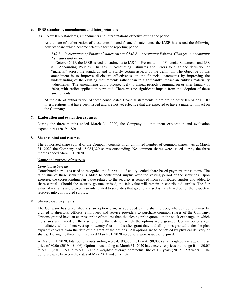### **6. IFRS standards, amendments and interpretations**

(a) New IFRS standards, amendments and interpretations effective during the period

At the date of authorization of these consolidated financial statements, the IASB has issued the following new Standard which became effective for the reporting period.

### *IAS 1 – Presentation of Financial statements and IAS 8 – Accounting Policies, Changes in Accounting Estimates and Errors*

In October 2018, the IASB issued amendments to IAS 1 – Presentation of Financial Statements and IAS 8 – Accounting Policies, Changes in Accounting Estimates and Errors to align the definition of "material" across the standards and to clarify certain aspects of the definition. The objective of this amendment is to improve disclosure effectiveness in the financial statements by improving the understanding of the existing requirements rather than to significantly impact an entity's materiality judgements. The amendments apply prospectively to annual periods beginning on or after January 1, 2020, with earlier application permitted. There was no significant impact from the adoption of these amendments.

At the date of authorization of these consolidated financial statements, there are no other IFRSs or IFRIC interpretations that have been issued and are not yet effective that are expected to have a material impact on the Company.

### **7. Exploration and evaluation expenses**

During the three months ended March 31, 2020, the Company did not incur exploration and evaluation expenditures  $(2019 - $0)$ .

### **8. Share capital and reserves**

The authorized share capital of the Company consists of an unlimited number of common shares. As at March 31, 2020 the Company had 45,084,320 shares outstanding. No common shares were issued during the three months ended March 31, 2020.

### Nature and purpose of reserves

### *Contributed Surplus*

Contributed surplus is used to recognize the fair value of equity-settled share-based payment transactions. The fair value of these securities is added to contributed surplus over the vesting period of the securities. Upon exercise, the corresponding fair value related to the security is removed from contributed surplus and added to share capital. Should the security go unexercised, the fair value will remain in contributed surplus. The fair value of warrants and broker warrants related to securities that go unexercised is transferred out of the respective reserves into contributed surplus.

### **9. Share-based payments**

The Company has established a share option plan, as approved by the shareholders, whereby options may be granted to directors, officers, employees and service providers to purchase common shares of the Company. Options granted have an exercise price of not less than the closing price quoted on the stock exchange on which the shares are traded on the day prior to the date on which the options were granted. Certain options vest immediately while others vest up to twenty-four months after grant date and all options granted under the plan expire five years from the date of the grant of the options. All options are to be settled by physical delivery of shares. During the three months ended March 31, 2020 no options were issued or expired.

At March 31, 2020, total options outstanding were 4,190,000 (2019 – 4,190,000) at a weighted average exercise price of \$0.06 (2019 – \$0.06). Options outstanding at March 31, 2020 have exercise prices that range from \$0.05 to  $$0.08$  (2019 –  $$0.05$  to  $$0.08$ ) and a weighted average contractual life of 1.9 years (2019 – 2.9 years). The options expire between the dates of May 2021 and June 2023.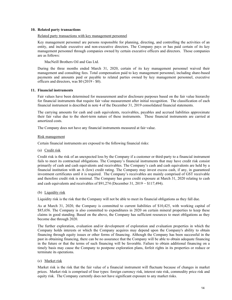### **10. Related party transactions**

### Related party transactions with key management personnel

Key management personnel are persons responsible for planning, directing, and controlling the activities of an entity, and include executive and non-executive directors. The Company pays or has paid certain of its key management personnel through companies owned by certain executive officers and directors. Those companies are as follows:

MacNeill Brothers Oil and Gas Ltd.

During the three months ended March 31, 2020, certain of its key management personnel waived their management and consulting fees. Total compensation paid to key management personnel, including share-based payments and amounts paid or payable to related parties owned by key management personnel, executive officers and directors, was \$0 (2019 - \$0).

### **11. Financial instruments**

Fair values have been determined for measurement and/or disclosure purposes based on the fair value hierarchy for financial instruments that require fair value measurement after initial recognition. The classification of each financial instrument is described in note 4 of the December 31, 2019 consolidated financial statements.

The carrying amounts for cash and cash equivalents, receivables, payables and accrued liabilities approximate their fair value due to the short-term nature of these instruments. These financial instruments are carried at amortized costs.

The Company does not have any financial instruments measured at fair value.

### Risk management

Certain financial instruments are exposed to the following financial risks:

(a) Credit risk

Credit risk is the risk of an unexpected loss by the Company if a customer or third-party to a financial instrument fails to meet its contractual obligations. The Company's financial instruments that may have credit risk consist primarily of cash and cash equivalents and receivables. The Company's cash and cash equivalents are held by a financial institution with an A (low) credit rating. The Company may invest excess cash, if any, in guaranteed investment certificates until it is required. The Company's receivables are mainly comprised of GST receivable and therefore credit risk is minimal. The Company has gross credit exposure at March 31, 2020 relating to cash and cash equivalents and receivables of \$91,274 (December 31, 2019 – \$117,494).

### (b) Liquidity risk

Liquidity risk is the risk that the Company will not be able to meet its financial obligations as they fall due.

As at March 31, 2020, the Company is committed to current liabilities of \$10,425, with working capital of \$85,656. The Company is also committed to expenditures in 2020 on certain mineral properties to keep these claims in good standing. Based on the above, the Company has sufficient resources to meet obligations as they become due through 2020.

The further exploration, evaluation and/or development of exploration and evaluation properties in which the Company holds interests or which the Company acquires may depend upon the Company's ability to obtain financing through equity issues or other forms of financing. Although the Company has been successful in the past in obtaining financing, there can be no assurance that the Company will be able to obtain adequate financing in the future or that the terms of such financing will be favorable. Failure to obtain additional financing on a timely basis may cause the Company to postpone exploration plans, forfeit rights in its properties or reduce or terminate its operations.

(c) Market risk

Market risk is the risk that the fair value of a financial instrument will fluctuate because of changes in market prices. Market risk is comprised of four types: foreign currency risk, interest rate risk, commodity price risk and equity risk. The Company currently does not have significant exposure to any market risks.